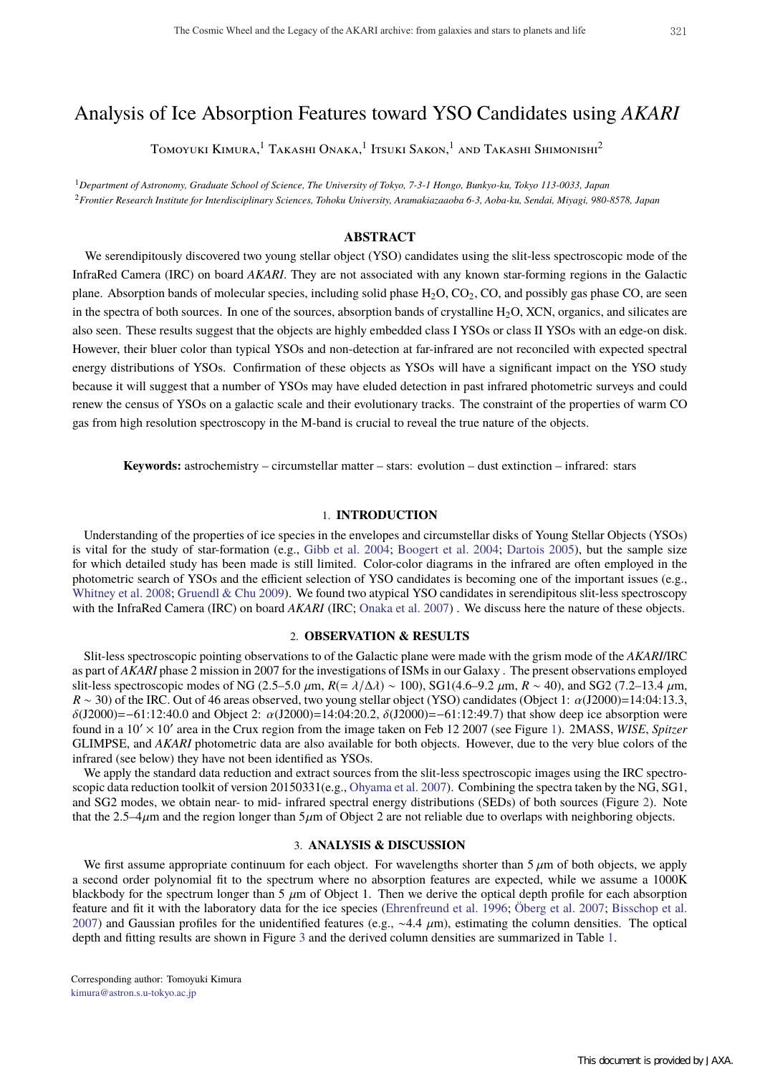# Analysis of Ice Absorption Features toward YSO Candidates using *AKARI*

Tomoyuki Kimura,<sup>1</sup> Takashi Onaka,<sup>1</sup> Itsuki Sakon,<sup>1</sup> and Takashi Shimonishi<sup>2</sup>

<sup>1</sup>*Department of Astronomy, Graduate School of Science, The University of Tokyo, 7-3-1 Hongo, Bunkyo-ku, Tokyo 113-0033, Japan* <sup>2</sup>*Frontier Research Institute for Interdisciplinary Sciences, Tohoku University, Aramakiazaaoba 6-3, Aoba-ku, Sendai, Miyagi, 980-8578, Japan*

# **ABSTRACT**

We serendipitously discovered two young stellar object (YSO) candidates using the slit-less spectroscopic mode of the InfraRed Camera (IRC) on board *AKARI*. They are not associated with any known star-forming regions in the Galactic plane. Absorption bands of molecular species, including solid phase  $H_2O$ ,  $CO_2$ ,  $CO$ , and possibly gas phase  $CO$ , are seen in the spectra of both sources. In one of the sources, absorption bands of crystalline  $H_2O$ , XCN, organics, and silicates are also seen. These results suggest that the objects are highly embedded class I YSOs or class II YSOs with an edge-on disk. However, their bluer color than typical YSOs and non-detection at far-infrared are not reconciled with expected spectral energy distributions of YSOs. Confirmation of these objects as YSOs will have a significant impact on the YSO study because it will suggest that a number of YSOs may have eluded detection in past infrared photometric surveys and could renew the census of YSOs on a galactic scale and their evolutionary tracks. The constraint of the properties of warm CO gas from high resolution spectroscopy in the M-band is crucial to reveal the true nature of the objects.

**Keywords:** astrochemistry – circumstellar matter – stars: evolution – dust extinction – infrared: stars

## 1. **INTRODUCTION**

Understanding of the properties of ice species in the envelopes and circumstellar disks of Young Stellar Objects (YSOs) is vital for the study of star-formation (e.g., Gibb et al. 2004; Boogert et al. 2004; Dartois 2005), but the sample size for which detailed study has been made is still limited. Color-color diagrams in the infrared are often employed in the photometric search of YSOs and the efficient selection of YSO candidates is becoming one of the important issues (e.g., Whitney et al. 2008; Gruendl & Chu 2009). We found two atypical YSO candidates in serendipitous slit-less spectroscopy with the InfraRed Camera (IRC) on board *AKARI* (IRC; Onaka et al. 2007). We discuss here the nature of these objects.

### 2. **OBSERVATION & RESULTS**

Slit-less spectroscopic pointing observations to of the Galactic plane were made with the grism mode of the *AKARI*/IRC as part of *AKARI* phase 2 mission in 2007 for the investigations of ISMs in our Galaxy . The present observations employed slit-less spectroscopic modes of NG (2.5–5.0  $\mu$ m,  $R = \lambda/\Delta\lambda$ ) ~ 100), SG1(4.6–9.2  $\mu$ m,  $R \sim 40$ ), and SG2 (7.2–13.4  $\mu$ m,  $R \sim 30$ ) of the IRC. Out of 46 areas observed, two young stellar object (YSO) candidates (Object 1:  $\alpha$ (J2000)=14:04:13.3,  $\delta$ (J2000)=−61:12:40.0 and Object 2:  $\alpha$ (J2000)=14:04:20.2,  $\delta$ (J2000)=−61:12:49.7) that show deep ice absorption were found in a 10′ × 10′ area in the Crux region from the image taken on Feb 12 2007 (see Figure 1). 2MASS, *WISE*, *Spitzer* GLIMPSE, and *AKARI* photometric data are also available for both objects. However, due to the very blue colors of the infrared (see below) they have not been identified as YSOs.

We apply the standard data reduction and extract sources from the slit-less spectroscopic images using the IRC spectroscopic data reduction toolkit of version 20150331(e.g., Ohyama et al. 2007). Combining the spectra taken by the NG, SG1, and SG2 modes, we obtain near- to mid- infrared spectral energy distributions (SEDs) of both sources (Figure 2). Note that the 2.5–4 $\mu$ m and the region longer than 5 $\mu$ m of Object 2 are not reliable due to overlaps with neighboring objects.

# 3. **ANALYSIS & DISCUSSION**

We first assume appropriate continuum for each object. For wavelengths shorter than  $5 \mu m$  of both objects, we apply a second order polynomial fit to the spectrum where no absorption features are expected, while we assume a 1000K blackbody for the spectrum longer than  $5 \mu m$  of Object 1. Then we derive the optical depth profile for each absorption feature and fit it with the laboratory data for the ice species (Ehrenfreund et al. 1996; Öberg et al. 2007; Bisschop et al. 2007) and Gaussian profiles for the unidentified features (e.g.,  $\sim$  4.4  $\mu$ m), estimating the column densities. The optical depth and fitting results are shown in Figure 3 and the derived column densities are summarized in Table 1.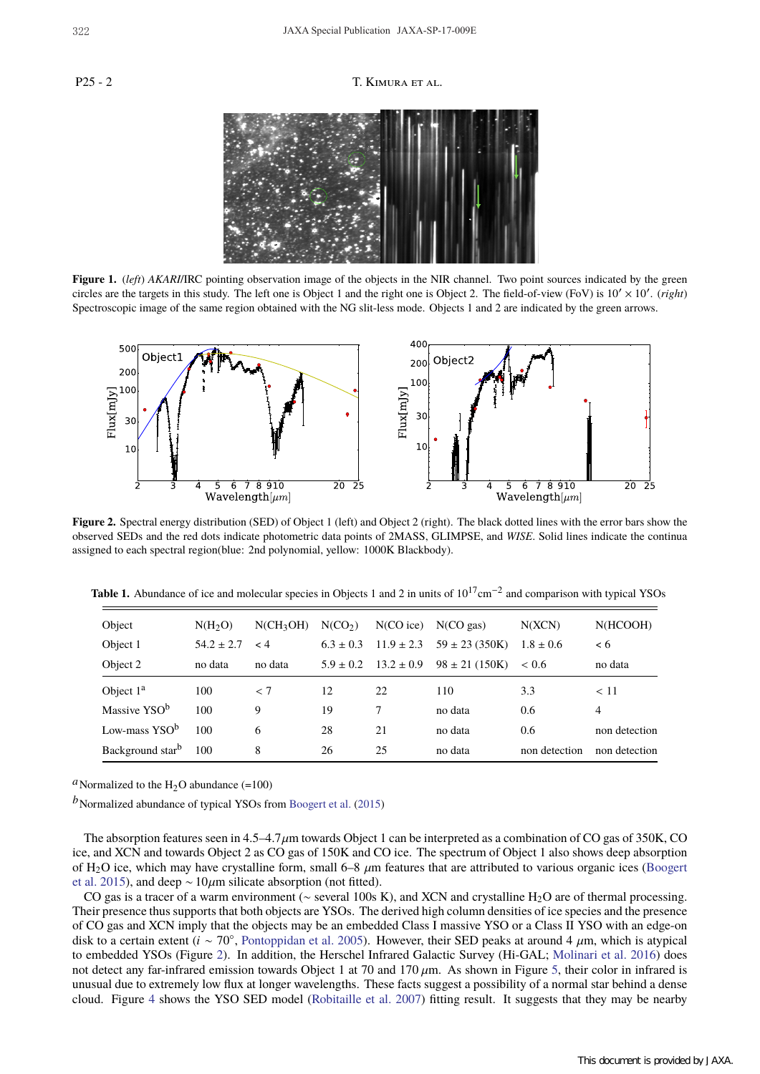## P25 - 2 T. KIMURA ET AL.



**Figure 1.** (*left*) *AKARI*/IRC pointing observation image of the objects in the NIR channel. Two point sources indicated by the green circles are the targets in this study. The left one is Object 1 and the right one is Object 2. The field-of-view (FoV) is 10′ × 10′ . (*right*) Spectroscopic image of the same region obtained with the NG slit-less mode. Objects 1 and 2 are indicated by the green arrows.



**Figure 2.** Spectral energy distribution (SED) of Object 1 (left) and Object 2 (right). The black dotted lines with the error bars show the observed SEDs and the red dots indicate photometric data points of 2MASS, GLIMPSE, and *WISE*. Solid lines indicate the continua assigned to each spectral region(blue: 2nd polynomial, yellow: 1000K Blackbody).

| Object                    | N(H <sub>2</sub> O) | $N(CH_3OH)$ | N(CO <sub>2</sub> ) | $N(CO$ ice)    | $N(CO \, gas)$     | N(XCN)        | N(HCOOH)      |
|---------------------------|---------------------|-------------|---------------------|----------------|--------------------|---------------|---------------|
| Object 1                  | $54.2 \pm 2.7$      | $\lt 4$     | $6.3 \pm 0.3$       | $11.9 \pm 2.3$ | $59 \pm 23$ (350K) | $1.8 \pm 0.6$ | < 6           |
| Object 2                  | no data             | no data     | $5.9 \pm 0.2$       | $13.2 \pm 0.9$ | $98 \pm 21 (150K)$ | < 0.6         | no data       |
| Object $1a$               | 100                 | < 7         | 12                  | 22             | 110                | 3.3           | < 11          |
| Massive YSO <sup>b</sup>  | 100                 | 9           | 19                  | 7              | no data            | 0.6           | 4             |
| Low-mass YSO <sup>b</sup> | 100                 | 6           | 28                  | 21             | no data            | 0.6           | non detection |
| Background starb          | 100                 | 8           | 26                  | 25             | no data            | non detection | non detection |

Table 1. Abundance of ice and molecular species in Objects 1 and 2 in units of 10<sup>17</sup>cm<sup>-2</sup> and comparison with typical YSOs

<sup>*a*</sup>Normalized to the H<sub>2</sub>O abundance (=100)

*b*Normalized abundance of typical YSOs from Boogert et al. (2015)

The absorption features seen in  $4.5-4.7\,\mu$ m towards Object 1 can be interpreted as a combination of CO gas of 350K, CO ice, and XCN and towards Object 2 as CO gas of 150K and CO ice. The spectrum of Object 1 also shows deep absorption of H<sub>2</sub>O ice, which may have crystalline form, small  $6-8 \mu m$  features that are attributed to various organic ices (Boogert et al. 2015), and deep  $\sim 10 \mu m$  silicate absorption (not fitted).

CO gas is a tracer of a warm environment (∼ several 100s K), and XCN and crystalline H<sub>2</sub>O are of thermal processing. Their presence thus supports that both objects are YSOs. The derived high column densities of ice species and the presence of CO gas and XCN imply that the objects may be an embedded Class I massive YSO or a Class II YSO with an edge-on disk to a certain extent (*i* ∼ 70◦, Pontoppidan et al. 2005). However, their SED peaks at around 4 µm, which is atypical to embedded YSOs (Figure 2). In addition, the Herschel Infrared Galactic Survey (Hi-GAL; Molinari et al. 2016) does not detect any far-infrared emission towards Object 1 at 70 and 170  $\mu$ m. As shown in Figure 5, their color in infrared is unusual due to extremely low flux at longer wavelengths. These facts suggest a possibility of a normal star behind a dense cloud. Figure 4 shows the YSO SED model (Robitaille et al. 2007) fitting result. It suggests that they may be nearby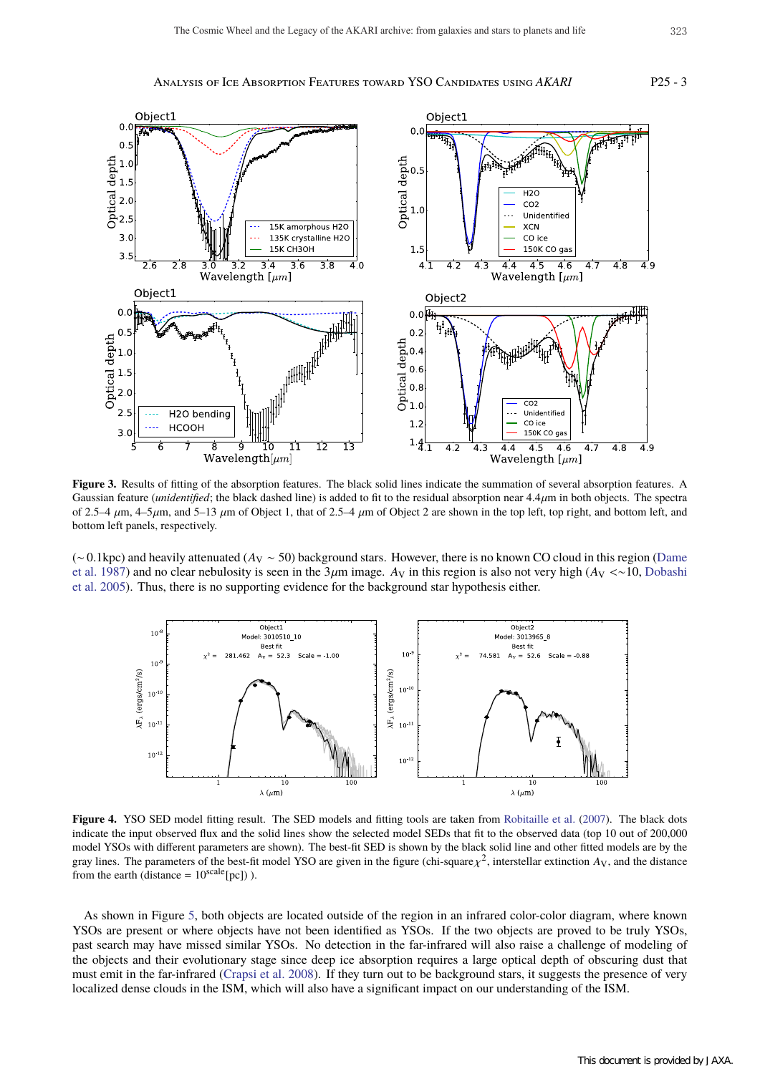Analysis of Ice Absorption Features toward YSO Candidates using *AKARI* P25 - 3



**Figure 3.** Results of fitting of the absorption features. The black solid lines indicate the summation of several absorption features. A Gaussian feature (*unidentified*; the black dashed line) is added to fit to the residual absorption near 4.4µm in both objects. The spectra of 2.5–4  $\mu$ m, 4–5 $\mu$ m, and 5–13  $\mu$ m of Object 1, that of 2.5–4  $\mu$ m of Object 2 are shown in the top left, top right, and bottom left, and bottom left panels, respectively.

(∼ 0.1kpc) and heavily attenuated (*A*<sup>V</sup> ∼ 50) background stars. However, there is no known CO cloud in this region (Dame et al. 1987) and no clear nebulosity is seen in the 3µm image. *A*<sup>V</sup> in this region is also not very high (*A*<sup>V</sup> <∼10, Dobashi et al. 2005). Thus, there is no supporting evidence for the background star hypothesis either.



**Figure 4.** YSO SED model fitting result. The SED models and fitting tools are taken from Robitaille et al. (2007). The black dots indicate the input observed flux and the solid lines show the selected model SEDs that fit to the observed data (top 10 out of 200,000 model YSOs with different parameters are shown). The best-fit SED is shown by the black solid line and other fitted models are by the gray lines. The parameters of the best-fit model YSO are given in the figure (chi-square  $\chi^2$ , interstellar extinction  $A_V$ , and the distance from the earth (distance =  $10^{\text{scale}}$ [pc])).

As shown in Figure 5, both objects are located outside of the region in an infrared color-color diagram, where known YSOs are present or where objects have not been identified as YSOs. If the two objects are proved to be truly YSOs, past search may have missed similar YSOs. No detection in the far-infrared will also raise a challenge of modeling of the objects and their evolutionary stage since deep ice absorption requires a large optical depth of obscuring dust that must emit in the far-infrared (Crapsi et al. 2008). If they turn out to be background stars, it suggests the presence of very localized dense clouds in the ISM, which will also have a significant impact on our understanding of the ISM.